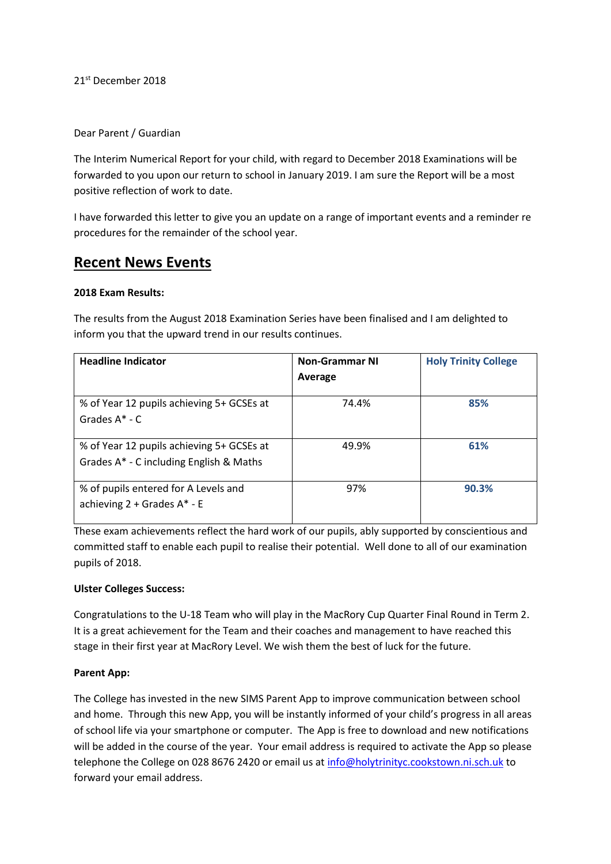21<sup>st</sup> December 2018

## Dear Parent / Guardian

The Interim Numerical Report for your child, with regard to December 2018 Examinations will be forwarded to you upon our return to school in January 2019. I am sure the Report will be a most positive reflection of work to date.

I have forwarded this letter to give you an update on a range of important events and a reminder re procedures for the remainder of the school year.

# **Recent News Events**

## **2018 Exam Results:**

The results from the August 2018 Examination Series have been finalised and I am delighted to inform you that the upward trend in our results continues.

| <b>Headline Indicator</b>                                                            | <b>Non-Grammar NI</b><br>Average | <b>Holy Trinity College</b> |
|--------------------------------------------------------------------------------------|----------------------------------|-----------------------------|
| % of Year 12 pupils achieving 5+ GCSEs at<br>Grades $A^*$ - C                        | 74.4%                            | 85%                         |
| % of Year 12 pupils achieving 5+ GCSEs at<br>Grades A* - C including English & Maths | 49.9%                            | 61%                         |
| % of pupils entered for A Levels and<br>achieving $2 +$ Grades A $*$ - E             | 97%                              | 90.3%                       |

These exam achievements reflect the hard work of our pupils, ably supported by conscientious and committed staff to enable each pupil to realise their potential. Well done to all of our examination pupils of 2018.

# **Ulster Colleges Success:**

Congratulations to the U-18 Team who will play in the MacRory Cup Quarter Final Round in Term 2. It is a great achievement for the Team and their coaches and management to have reached this stage in their first year at MacRory Level. We wish them the best of luck for the future.

# **Parent App:**

The College has invested in the new SIMS Parent App to improve communication between school and home. Through this new App, you will be instantly informed of your child's progress in all areas of school life via your smartphone or computer. The App is free to download and new notifications will be added in the course of the year. Your email address is required to activate the App so please telephone the College on 028 8676 2420 or email us at [info@holytrinityc.cookstown.ni.sch.uk](mailto:info@holytrinityc.cookstown.ni.sch.uk) to forward your email address.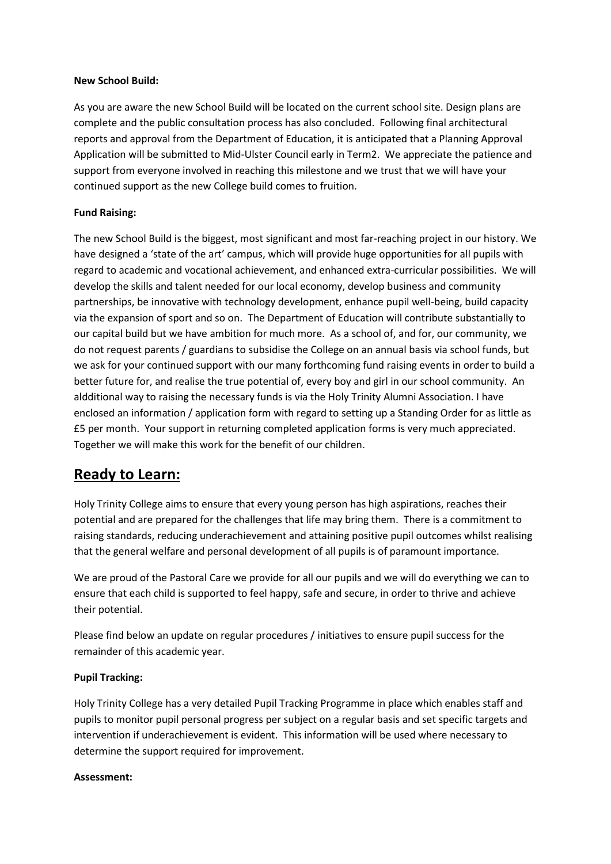## **New School Build:**

As you are aware the new School Build will be located on the current school site. Design plans are complete and the public consultation process has also concluded. Following final architectural reports and approval from the Department of Education, it is anticipated that a Planning Approval Application will be submitted to Mid-Ulster Council early in Term2. We appreciate the patience and support from everyone involved in reaching this milestone and we trust that we will have your continued support as the new College build comes to fruition.

## **Fund Raising:**

The new School Build is the biggest, most significant and most far-reaching project in our history. We have designed a 'state of the art' campus, which will provide huge opportunities for all pupils with regard to academic and vocational achievement, and enhanced extra-curricular possibilities. We will develop the skills and talent needed for our local economy, develop business and community partnerships, be innovative with technology development, enhance pupil well-being, build capacity via the expansion of sport and so on. The Department of Education will contribute substantially to our capital build but we have ambition for much more. As a school of, and for, our community, we do not request parents / guardians to subsidise the College on an annual basis via school funds, but we ask for your continued support with our many forthcoming fund raising events in order to build a better future for, and realise the true potential of, every boy and girl in our school community. An aldditional way to raising the necessary funds is via the Holy Trinity Alumni Association. I have enclosed an information / application form with regard to setting up a Standing Order for as little as £5 per month. Your support in returning completed application forms is very much appreciated. Together we will make this work for the benefit of our children.

# **Ready to Learn:**

Holy Trinity College aims to ensure that every young person has high aspirations, reaches their potential and are prepared for the challenges that life may bring them. There is a commitment to raising standards, reducing underachievement and attaining positive pupil outcomes whilst realising that the general welfare and personal development of all pupils is of paramount importance.

We are proud of the Pastoral Care we provide for all our pupils and we will do everything we can to ensure that each child is supported to feel happy, safe and secure, in order to thrive and achieve their potential.

Please find below an update on regular procedures / initiatives to ensure pupil success for the remainder of this academic year.

## **Pupil Tracking:**

Holy Trinity College has a very detailed Pupil Tracking Programme in place which enables staff and pupils to monitor pupil personal progress per subject on a regular basis and set specific targets and intervention if underachievement is evident. This information will be used where necessary to determine the support required for improvement.

## **Assessment:**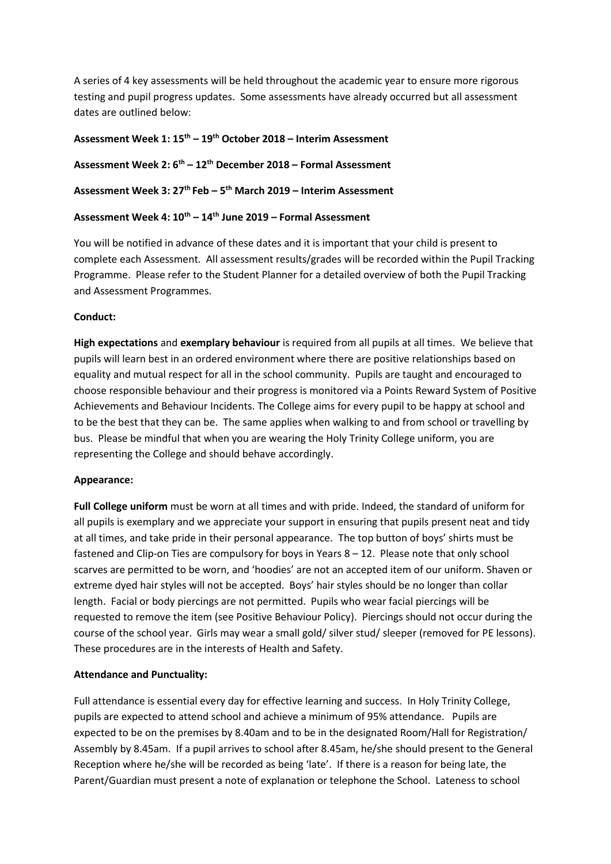A series of 4 key assessments will be held throughout the academic year to ensure more rigorous testing and pupil progress updates. Some assessments have already occurred but all assessment dates are outlined below:

# **Assessment Week 1: 15 th – 19th October 2018 – Interim Assessment**

**Assessment Week 2: 6 th – 12th December 2018 – Formal Assessment**

**Assessment Week 3: 27th Feb – 5 th March 2019 – Interim Assessment**

## **Assessment Week 4: 10th – 14th June 2019 – Formal Assessment**

You will be notified in advance of these dates and it is important that your child is present to complete each Assessment. All assessment results/grades will be recorded within the Pupil Tracking Programme. Please refer to the Student Planner for a detailed overview of both the Pupil Tracking and Assessment Programmes.

## **Conduct:**

**High expectations** and **exemplary behaviour** is required from all pupils at all times. We believe that pupils will learn best in an ordered environment where there are positive relationships based on equality and mutual respect for all in the school community. Pupils are taught and encouraged to choose responsible behaviour and their progress is monitored via a Points Reward System of Positive Achievements and Behaviour Incidents. The College aims for every pupil to be happy at school and to be the best that they can be. The same applies when walking to and from school or travelling by bus. Please be mindful that when you are wearing the Holy Trinity College uniform, you are representing the College and should behave accordingly.

## **Appearance:**

**Full College uniform** must be worn at all times and with pride. Indeed, the standard of uniform for all pupils is exemplary and we appreciate your support in ensuring that pupils present neat and tidy at all times, and take pride in their personal appearance. The top button of boys' shirts must be fastened and Clip-on Ties are compulsory for boys in Years 8 – 12. Please note that only school scarves are permitted to be worn, and 'hoodies' are not an accepted item of our uniform. Shaven or extreme dyed hair styles will not be accepted. Boys' hair styles should be no longer than collar length. Facial or body piercings are not permitted. Pupils who wear facial piercings will be requested to remove the item (see Positive Behaviour Policy). Piercings should not occur during the course of the school year. Girls may wear a small gold/ silver stud/ sleeper (removed for PE lessons). These procedures are in the interests of Health and Safety.

# **Attendance and Punctuality:**

Full attendance is essential every day for effective learning and success. In Holy Trinity College, pupils are expected to attend school and achieve a minimum of 95% attendance. Pupils are expected to be on the premises by 8.40am and to be in the designated Room/Hall for Registration/ Assembly by 8.45am. If a pupil arrives to school after 8.45am, he/she should present to the General Reception where he/she will be recorded as being 'late'. If there is a reason for being late, the Parent/Guardian must present a note of explanation or telephone the School. Lateness to school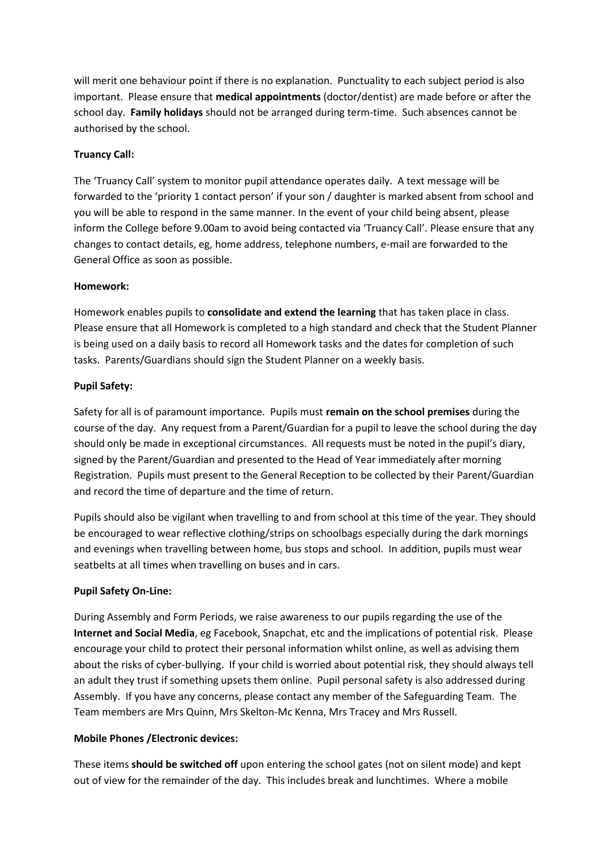will merit one behaviour point if there is no explanation. Punctuality to each subject period is also important. Please ensure that **medical appointments** (doctor/dentist) are made before or after the school day. **Family holidays** should not be arranged during term-time. Such absences cannot be authorised by the school.

# **Truancy Call:**

The 'Truancy Call' system to monitor pupil attendance operates daily. A text message will be forwarded to the 'priority 1 contact person' if your son / daughter is marked absent from school and you will be able to respond in the same manner. In the event of your child being absent, please inform the College before 9.00am to avoid being contacted via 'Truancy Call'. Please ensure that any changes to contact details, eg, home address, telephone numbers, e-mail are forwarded to the General Office as soon as possible.

## **Homework:**

Homework enables pupils to **consolidate and extend the learning** that has taken place in class. Please ensure that all Homework is completed to a high standard and check that the Student Planner is being used on a daily basis to record all Homework tasks and the dates for completion of such tasks. Parents/Guardians should sign the Student Planner on a weekly basis.

## **Pupil Safety:**

Safety for all is of paramount importance. Pupils must **remain on the school premises** during the course of the day. Any request from a Parent/Guardian for a pupil to leave the school during the day should only be made in exceptional circumstances. All requests must be noted in the pupil's diary, signed by the Parent/Guardian and presented to the Head of Year immediately after morning Registration. Pupils must present to the General Reception to be collected by their Parent/Guardian and record the time of departure and the time of return.

Pupils should also be vigilant when travelling to and from school at this time of the year. They should be encouraged to wear reflective clothing/strips on schoolbags especially during the dark mornings and evenings when travelling between home, bus stops and school. In addition, pupils must wear seatbelts at all times when travelling on buses and in cars.

# **Pupil Safety On-Line:**

During Assembly and Form Periods, we raise awareness to our pupils regarding the use of the **Internet and Social Media**, eg Facebook, Snapchat, etc and the implications of potential risk. Please encourage your child to protect their personal information whilst online, as well as advising them about the risks of cyber-bullying. If your child is worried about potential risk, they should always tell an adult they trust if something upsets them online. Pupil personal safety is also addressed during Assembly. If you have any concerns, please contact any member of the Safeguarding Team. The Team members are Mrs Quinn, Mrs Skelton-Mc Kenna, Mrs Tracey and Mrs Russell.

# **Mobile Phones /Electronic devices:**

These items **should be switched off** upon entering the school gates (not on silent mode) and kept out of view for the remainder of the day. This includes break and lunchtimes. Where a mobile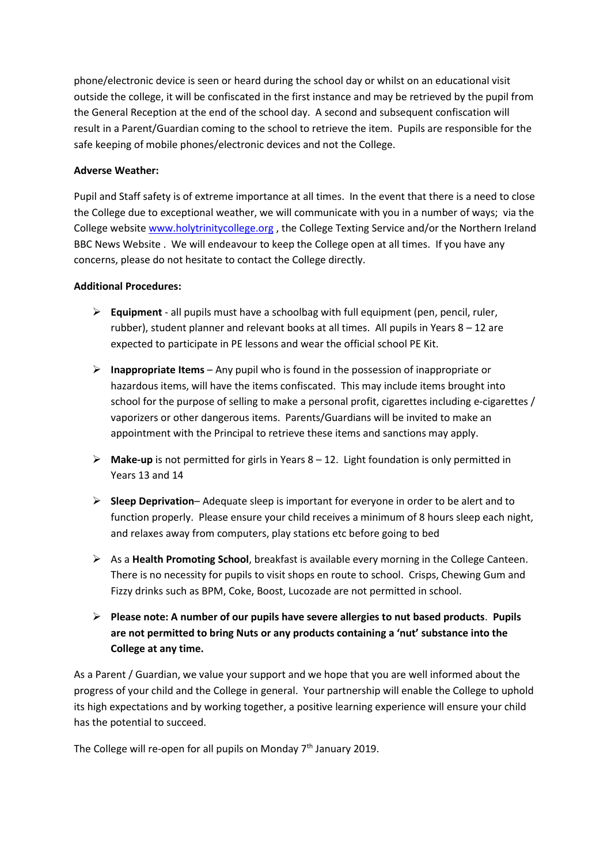phone/electronic device is seen or heard during the school day or whilst on an educational visit outside the college, it will be confiscated in the first instance and may be retrieved by the pupil from the General Reception at the end of the school day. A second and subsequent confiscation will result in a Parent/Guardian coming to the school to retrieve the item. Pupils are responsible for the safe keeping of mobile phones/electronic devices and not the College.

## **Adverse Weather:**

Pupil and Staff safety is of extreme importance at all times. In the event that there is a need to close the College due to exceptional weather, we will communicate with you in a number of ways; via the College website [www.holytrinitycollege.org](http://www.holytrinitycollege.org/) , the College Texting Service and/or the Northern Ireland BBC News Website . We will endeavour to keep the College open at all times. If you have any concerns, please do not hesitate to contact the College directly.

## **Additional Procedures:**

- **Equipment** all pupils must have a schoolbag with full equipment (pen, pencil, ruler, rubber), student planner and relevant books at all times. All pupils in Years  $8 - 12$  are expected to participate in PE lessons and wear the official school PE Kit.
- **Inappropriate Items** Any pupil who is found in the possession of inappropriate or hazardous items, will have the items confiscated. This may include items brought into school for the purpose of selling to make a personal profit, cigarettes including e-cigarettes / vaporizers or other dangerous items. Parents/Guardians will be invited to make an appointment with the Principal to retrieve these items and sanctions may apply.
- **Make-up** is not permitted for girls in Years 8 12. Light foundation is only permitted in Years 13 and 14
- **Sleep Deprivation** Adequate sleep is important for everyone in order to be alert and to function properly. Please ensure your child receives a minimum of 8 hours sleep each night, and relaxes away from computers, play stations etc before going to bed
- As a **Health Promoting School**, breakfast is available every morning in the College Canteen. There is no necessity for pupils to visit shops en route to school. Crisps, Chewing Gum and Fizzy drinks such as BPM, Coke, Boost, Lucozade are not permitted in school.
- **Please note: A number of our pupils have severe allergies to nut based products**. **Pupils are not permitted to bring Nuts or any products containing a 'nut' substance into the College at any time.**

As a Parent / Guardian, we value your support and we hope that you are well informed about the progress of your child and the College in general. Your partnership will enable the College to uphold its high expectations and by working together, a positive learning experience will ensure your child has the potential to succeed.

The College will re-open for all pupils on Monday  $7<sup>th</sup>$  January 2019.